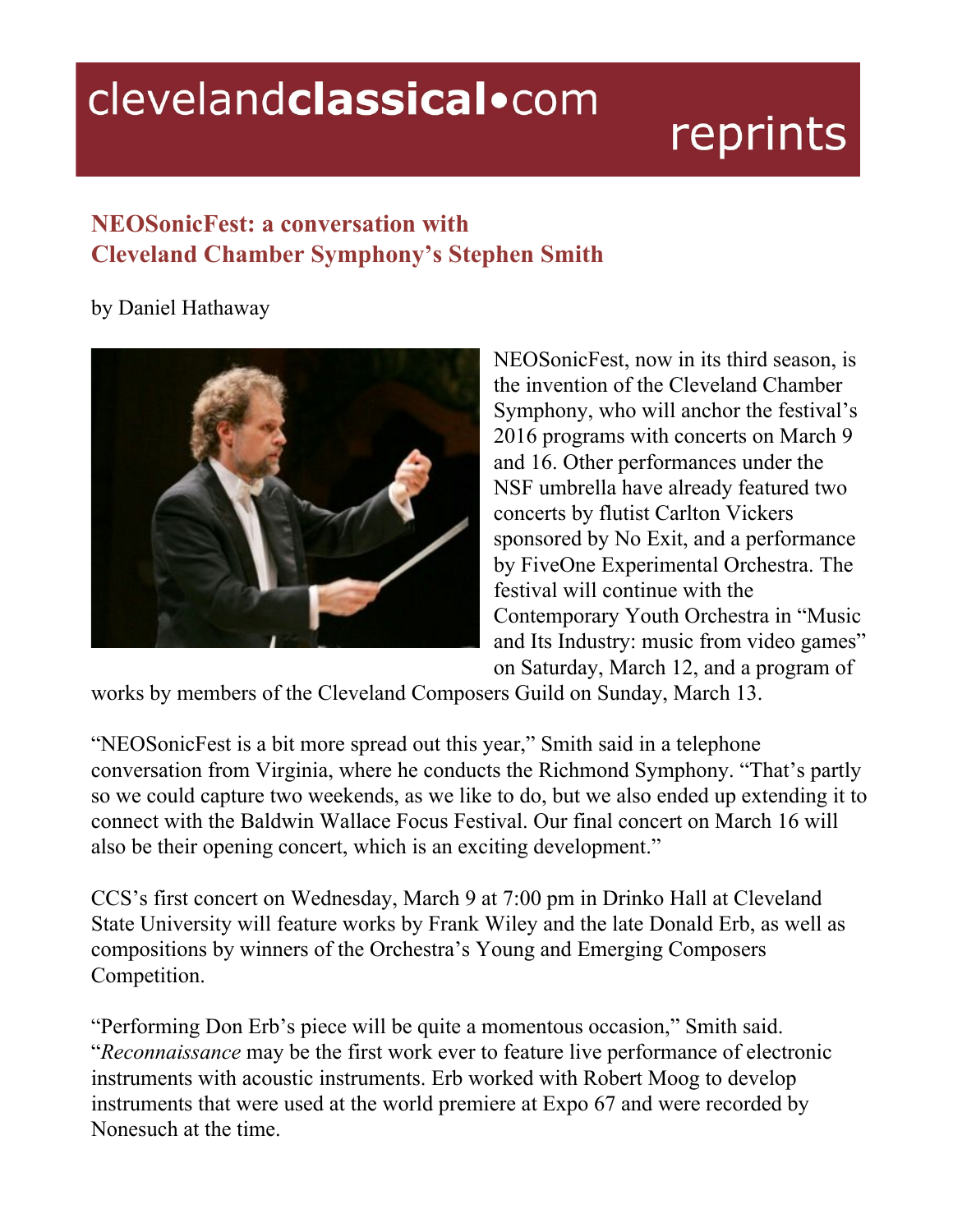## clevelandclassical.com

## reprints

## **NEOSonicFest: a conversation with Cleveland Chamber Symphony's Stephen Smith**

by Daniel Hathaway



NEOSonicFest, now in its third season, is the invention of the Cleveland Chamber Symphony, who will anchor the festival's 2016 programs with concerts on March 9 and 16. Other performances under the NSF umbrella have already featured two concerts by flutist Carlton Vickers sponsored by No Exit, and a performance by FiveOne Experimental Orchestra. The festival will continue with the Contemporary Youth Orchestra in "Music and Its Industry: music from video games" on Saturday, March 12, and a program of

works by members of the Cleveland Composers Guild on Sunday, March 13.

"NEOSonicFest is a bit more spread out this year," Smith said in a telephone conversation from Virginia, where he conducts the Richmond Symphony. "That's partly so we could capture two weekends, as we like to do, but we also ended up extending it to connect with the Baldwin Wallace Focus Festival. Our final concert on March 16 will also be their opening concert, which is an exciting development."

CCS's first concert on Wednesday, March 9 at 7:00 pm in Drinko Hall at Cleveland State University will feature works by Frank Wiley and the late Donald Erb, as well as compositions by winners of the Orchestra's Young and Emerging Composers Competition.

"Performing Don Erb's piece will be quite a momentous occasion," Smith said. "*Reconnaissance* may be the first work ever to feature live performance of electronic instruments with acoustic instruments. Erb worked with Robert Moog to develop instruments that were used at the world premiere at Expo 67 and were recorded by Nonesuch at the time.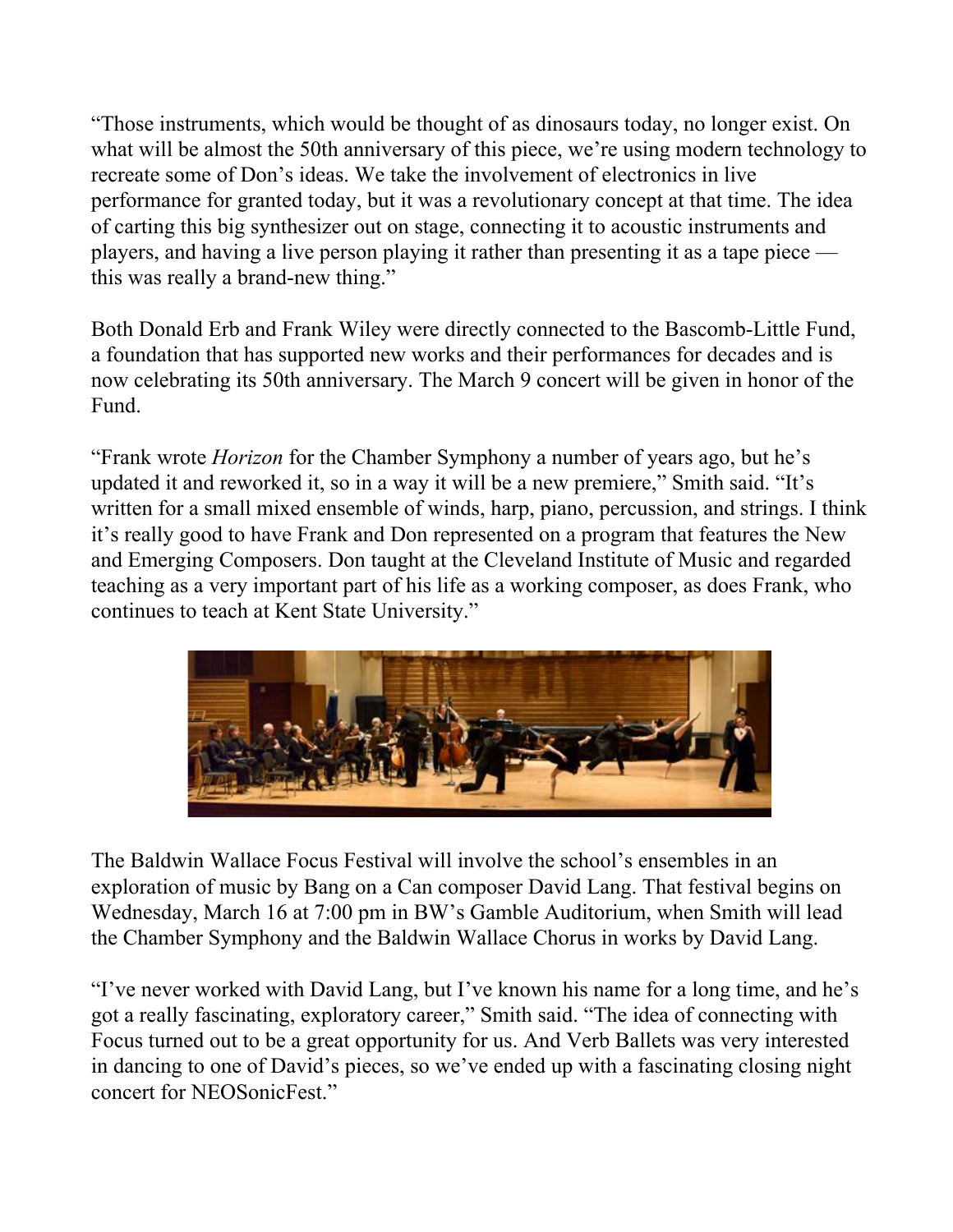"Those instruments, which would be thought of as dinosaurs today, no longer exist. On what will be almost the 50th anniversary of this piece, we're using modern technology to recreate some of Don's ideas. We take the involvement of electronics in live performance for granted today, but it was a revolutionary concept at that time. The idea of carting this big synthesizer out on stage, connecting it to acoustic instruments and players, and having a live person playing it rather than presenting it as a tape piece this was really a brand-new thing."

Both Donald Erb and Frank Wiley were directly connected to the Bascomb-Little Fund, a foundation that has supported new works and their performances for decades and is now celebrating its 50th anniversary. The March 9 concert will be given in honor of the Fund.

"Frank wrote *Horizon* for the Chamber Symphony a number of years ago, but he's updated it and reworked it, so in a way it will be a new premiere," Smith said. "It's written for a small mixed ensemble of winds, harp, piano, percussion, and strings. I think it's really good to have Frank and Don represented on a program that features the New and Emerging Composers. Don taught at the Cleveland Institute of Music and regarded teaching as a very important part of his life as a working composer, as does Frank, who continues to teach at Kent State University."



The Baldwin Wallace Focus Festival will involve the school's ensembles in an exploration of music by Bang on a Can composer David Lang. That festival begins on Wednesday, March 16 at 7:00 pm in BW's Gamble Auditorium, when Smith will lead the Chamber Symphony and the Baldwin Wallace Chorus in works by David Lang.

"I've never worked with David Lang, but I've known his name for a long time, and he's got a really fascinating, exploratory career," Smith said. "The idea of connecting with Focus turned out to be a great opportunity for us. And Verb Ballets was very interested in dancing to one of David's pieces, so we've ended up with a fascinating closing night concert for NEOSonicFest."